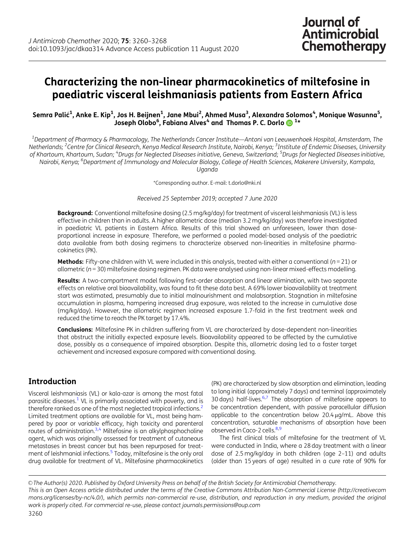# <span id="page-0-0"></span>Characterizing the non-linear pharmacokinetics of miltefosine in paediatric visceral leishmaniasis patients from Eastern Africa

Semra Palić<sup>1</sup>, Anke E. Kip<sup>1</sup>, Jos H. Beijnen<sup>1</sup>, Jane Mbui<sup>2</sup>, Ahmed Musa<sup>3</sup>, Alexandra Solomos<sup>4</sup>, Monique Wasunna<sup>5</sup>, Joseph Olobo<sup>6</sup>, Fabiana Alves<sup>4</sup> and Thomas P. C. Dorlo **O**<sup>1\*</sup>

 $^{\rm 1}$ Department of Pharmacy & Pharmacology, The Netherlands Cancer Institute—Antoni van Leeuwenhoek Hospital, Amsterdam, The Netherlands; <sup>2</sup>Centre for Clinical Research, Kenya Medical Research Institute, Nairobi, Kenya; <sup>3</sup>Institute of Endemic Diseases, University of Khartoum, Khartoum, Sudan; <sup>4</sup>Drugs for Neglected Diseases initiative, Geneva, Switzerland; <sup>5</sup>Drugs for Neglected Diseases initiative, Nairobi, Kenya; <sup>6</sup>Department of Immunology and Molecular Biology, College of Health Sciences, Makerere University, Kampala, Uganda

\*Corresponding author. E-mail: t.dorlo@nki.nl

Received 25 September 2019; accepted 7 June 2020

Background: Conventional miltefosine dosing (2.5 mg/kg/day) for treatment of visceral leishmaniasis (VL) is less effective in children than in adults. A higher allometric dose (median 3.2 mg/kg/day) was therefore investigated in paediatric VL patients in Eastern Africa. Results of this trial showed an unforeseen, lower than doseproportional increase in exposure. Therefore, we performed a pooled model-based analysis of the paediatric data available from both dosing regimens to characterize observed non-linearities in miltefosine pharmacokinetics (PK).

Methods: Fifty-one children with VL were included in this analysis, treated with either a conventional ( $n = 21$ ) or allometric (n = 30) miltefosine dosing regimen. PK data were analysed using non-linear mixed-effects modelling.

Results: A two-compartment model following first-order absorption and linear elimination, with two separate effects on relative oral bioavailability, was found to fit these data best. A 69% lower bioavailability at treatment start was estimated, presumably due to initial malnourishment and malabsorption. Stagnation in miltefosine accumulation in plasma, hampering increased drug exposure, was related to the increase in cumulative dose (mg/kg/day). However, the allometric regimen increased exposure 1.7-fold in the first treatment week and reduced the time to reach the PK target by 17.4%.

Conclusions: Miltefosine PK in children suffering from VL are characterized by dose-dependent non-linearities that obstruct the initially expected exposure levels. Bioavailability appeared to be affected by the cumulative dose, possibly as a consequence of impaired absorption. Despite this, allometric dosing led to a faster target achievement and increased exposure compared with conventional dosing.

# Introduction

Visceral leishmaniasis (VL) or kala-azar is among the most fatal parasitic diseases.<sup>1</sup> VL is primarily associated with poverty, and is therefore ranked as one of the most neglected tropical infections.<sup>2</sup> Limited treatment options are available for VL, most being hampered by poor or variable efficacy, high toxicity and parenteral routes of administration. $3,4$  Miltefosine is an alkylphosphocholine agent, which was originally assessed for treatment of cutaneous metastases in breast cancer but has been repurposed for treat-ment of leishmanial infections.<sup>[5](#page-7-0)</sup> Today, miltefosine is the only oral drug available for treatment of VL. Miltefosine pharmacokinetics

(PK) are characterized by slow absorption and elimination, leading to long initial (approximately 7 days) and terminal (approximately 30 days) half-lives. $6,7$  The absorption of miltefosine appears to be concentration dependent, with passive paracellular diffusion applicable to the concentration below  $20.4 \mu q/mL$ . Above this concentration, saturable mechanisms of absorption have been observed in Caco-2 cells.<sup>[8,9](#page-7-0)</sup>

The first clinical trials of miltefosine for the treatment of VL were conducted in India, where a 28 day treatment with a linear dose of 2.5 mg/kg/day in both children (age 2–11) and adults (older than 15 years of age) resulted in a cure rate of 90% for

V<sup>C</sup> The Author(s) 2020. Published by Oxford University Press on behalf of the British Society for Antimicrobial Chemotherapy. This is an Open Access article distributed under the terms of the Creative Commons Attribution Non-Commercial License (http://creativecom mons.org/licenses/by-nc/4.0/), which permits non-commercial re-use, distribution, and reproduction in any medium, provided the original work is properly cited. For commercial re-use, please contact journals.permissions@oup.com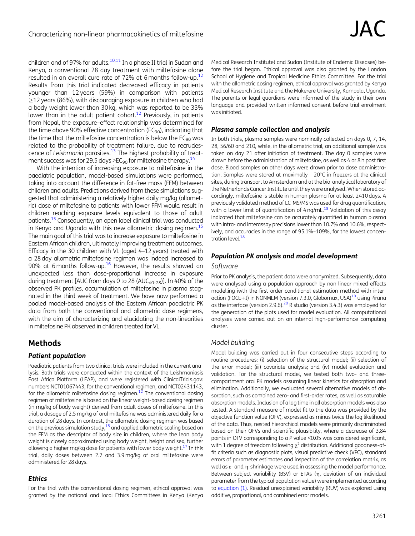<span id="page-1-0"></span>children and of 97% for adults. $10,11$  $10,11$  $10,11$  In a phase II trial in Sudan and Kenya, a conventional 28 day treatment with miltefosine alone resulted in an overall cure rate of 72% at 6 months follow-up.<sup>12</sup> Results from this trial indicated decreased efficacy in patients younger than 12 years (59%) in comparison with patients  $\geq$ 12 years (86%), with discouraging exposure in children who had a body weight lower than 30 kg, which was reported to be 33% lower than in the adult patient cohort.<sup>12</sup> Previously, in patients from Nepal, the exposure–effect relationship was determined for the time above 90% effective concentration ( $EC_{90}$ ), indicating that the time that the miltefosine concentration is below the  $EC_{90}$  was related to the probability of treatment failure, due to recrudescence of Leishmania parasites. $13$  The highest probability of treat-ment success was for 29.5 days >EC<sub>90</sub> for miltefosine therapy.<sup>[14](#page-7-0)</sup>

With the intention of increasing exposure to miltefosine in the paediatric population, model-based simulations were performed, taking into account the difference in fat-free mass (FFM) between children and adults. Predictions derived from these simulations suggested that administering a relatively higher daily mg/kg (allometric) dose of miltefosine to patients with lower FFM would result in children reaching exposure levels equivalent to those of adult patients.<sup>15</sup> Consequently, an open label clinical trial was conducted in Kenya and Uganda with this new allometric dosing regimen.<sup>15</sup> The main goal of this trial was to increase exposure to miltefosine in Eastern African children, ultimately improving treatment outcomes. Efficacy in the 30 children with VL (aged 4–12 years) treated with a 28 day allometric miltefosine regimen was indeed increased to 90% at 6 months follow-up.<sup>16</sup> However, the results showed an unexpected less than dose-proportional increase in exposure during treatment [AUC from days 0 to 28 (AUC $_{d0-28}$ )]. In 40% of the observed PK profiles, accumulation of miltefosine in plasma stagnated in the third week of treatment. We have now performed a pooled model-based analysis of the Eastern African paediatric PK data from both the conventional and allometric dose regimens, with the aim of characterizing and elucidating the non-linearities in miltefosine PK observed in children treated for VL.

### Methods

#### Patient population

Paediatric patients from two clinical trials were included in the current analysis. Both trials were conducted within the context of the Leishmaniasis East Africa Platform (LEAP), and were registered with ClinicalTrials.gov: numbers NCT01067443, for the conventional regimen, and NCT02431143, for the allometric miltefosine dosing regimen. $12$  The conventional dosing regimen of miltefosine is based on the linear weight-based dosing regimen (in mg/kg of body weight) derived from adult doses of miltefosine. In this trial, a dosage of 2.5 mg/kg of oral miltefosine was administered daily for a duration of 28 days. In contrast, the allometric dosing regimen was based on the previous simulation study, $15$  and applied allometric scaling based on the FFM as the descriptor of body size in children, where the lean body weight is closely approximated using body weight, height and sex, further allowing a higher mg/kg dose for patients with lower body weight.<sup>[17](#page-8-0)</sup> In this trial, daily doses between 2.7 and 3.9 mg/kg of oral miltefosine were administered for 28 days.

### **Ethics**

For the trial with the conventional dosing regimen, ethical approval was granted by the national and local Ethics Committees in Kenya (Kenya Medical Research Institute) and Sudan (Institute of Endemic Diseases) before the trial began. Ethical approval was also granted by the London School of Hygiene and Tropical Medicine Ethics Committee. For the trial with the allometric dosing regimen, ethical approval was granted by Kenya Medical Research Institute and the Makerere University, Kampala, Uganda. The parents or legal guardians were informed of the study in their own language and provided written informed consent before trial enrolment was initiated.

### Plasma sample collection and analysis

In both trials, plasma samples were nominally collected on days 0, 7, 14, 28, 56/60 and 210, while, in the allometric trial, an additional sample was taken on day 21 after initiation of treatment. The day 0 samples were drawn before the administration of miltefosine, as well as 4 or 8 h post first dose. Blood samples on other days were drawn prior to dose administration. Samples were stored at maximally  $-20^{\circ}$ C in freezers at the clinical sites, during transport to Amsterdam and at the bio-analytical laboratory of the Netherlands Cancer Institute until they were analysed. When stored accordingly, miltefosine is stable in human plasma for at least 2410 days. A previously validated method of LC-MS/MS was used for drug quantification, with a lower limit of quantification of  $4$  ng/mL.<sup>18</sup> Validation of this assay indicated that miltefosine can be accurately quantified in human plasma with intra- and interassay precisions lower than 10.7% and 10.6%, respectively, and accuracies in the range of 95.1%–109%, for the lowest concen-tration level.<sup>[18](#page-8-0)</sup>

### Population PK analysis and model development

#### **Software**

Prior to PK analysis, the patient data were anonymized. Subsequently, data were analysed using a population approach by non-linear mixed-effects modelling iwth the first-order conditional estimation method with inter-action (FOCE+I) in NONMEM (version 7.3.0, Globomax, USA)<sup>[19](#page-8-0)</sup> using Pirana as the interface (version 2.9.6).<sup>[20](#page-8-0)</sup> R studio (version 3.4.3) was employed for the generation of the plots used for model evaluation. All computational analyses were carried out on an internal high-performance computing cluster.

#### Model building

Model building was carried out in four consecutive steps according to routine procedures: (i) selection of the structural model; (ii) selection of the error model; (iii) covariate analysis; and (iv) model evaluation and validation. For the structural model, we tested both two- and threecompartment oral PK models assuming linear kinetics for absorption and elimination. Additionally, we evaluated several alternative models of absorption, such as combined zero- and first-order rates, as well as saturable absorption models. Inclusion of a lag time in all absorption models was also tested. A standard measure of model fit to the data was provided by the objective function value (OFV), expressed as minus twice the log likelihood of the data. Thus, nested hierarchical models were primarily discriminated based on their OFVs and scientific plausibility, where a decrease of 3.84 points in OFV corresponding to a P value <0.05 was considered significant, with 1 degree of freedom following  $\chi^2$  distribution. Additional goodness-offit criteria such as diagnostic plots, visual predictive check (VPC), standard errors of parameter estimates and inspection of the correlation matrix, as well as  $\varepsilon$ - and  $\eta$ -shrinkage were used in assessing the model performance. Between-subject variability (BSV) or ETAs (n, deviation of an individual parameter from the typical population value) were implemented according to equation (1). Residual unexplained variability (RUV) was explored using additive, proportional, and combined error models.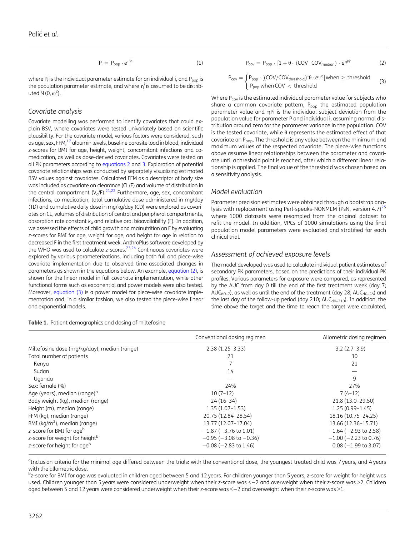$$
P_i = P_{pop} \cdot e^{\eta P i} \tag{1}
$$

<span id="page-2-0"></span>where  $P_i$  is the individual parameter estimate for an individual i, and  $P_{\text{pop}}$  is the population parameter estimate, and where  $\eta^i$  is assumed to be distributed N  $(0, \omega^2)$ .

#### Covariate analysis

Covariate modelling was performed to identify covariates that could explain BSV, where covariates were tested univariately based on scientific plausibility. For the covariate model, various factors were considered, such as age, sex, FFM, $^{17}$  albumin levels, baseline parasite load in blood, individual z-scores for BMI for age, height, weight, concomitant infections and comedication, as well as dose-derived covariates. Covariates were tested on all PK parameters according to equations 2 and 3. Exploration of potential covariate relationships was conducted by separately visualizing estimated BSV values against covariates. Calculated FFM as a descriptor of body size was included as covariate on clearance (CL/F) and volume of distribution in the central compartment  $(V_c/F)^{21,22}$  $(V_c/F)^{21,22}$  $(V_c/F)^{21,22}$  $(V_c/F)^{21,22}$  $(V_c/F)^{21,22}$  Furthermore, age, sex, concomitant infections, co-medication, total cumulative dose administered in mg/day (TD) and cumulative daily dose in mg/kg/day (CD) were explored as covariates on CL, volumes of distribution of central and peripheral compartments, absorption rate constant  $k_a$  and relative oral bioavailability (F). In addition, we assessed the effects of child growth and malnutrition on F by evaluating z-scores for BMI for age, weight for age, and height for age in relation to decreased F in the first treatment week. AnthroPlus software developed by the WHO was used to calculate z-scores. $23,24$  Continuous covariates were explored by various parameterizations, including both full and piece-wise covariate implementation due to observed time-associated changes in parameters as shown in the equations below. An example, equation (2), is shown for the linear model in full covariate implementation, while other functional forms such as exponential and power models were also tested. Moreover, equation (3) is a power model for piece-wise covariate implementation and, in a similar fashion, we also tested the piece-wise linear and exponential models.

Table 1. Patient demographics and dosing of miltefosine

$$
P_{cov} = P_{pop} \cdot [1 + \theta \cdot (COV - COV_{median}) \cdot e^{\eta P i}] \tag{2}
$$

$$
P_{cov} = \begin{cases} P_{pop} \cdot [(COV/COV_{threshold})^{\hat{}}\theta \cdot e^{n\hat{P}i}] \text{ when } \geq \text{ threshold} \\ P_{pop} \text{ when } COV < \text{ threshold} \end{cases} \tag{3}
$$

Where  $P_{cov}$  is the estimated individual parameter value for subjects who share a common covariate pattern,  $P_{\text{pop}}$  the estimated population parameter value and  $\eta$ Pi is the individual subject deviation from the population value for parameter P and individual i, assuming normal distribution around zero for the parameter variance in the population. COV is the tested covariate, while  $\theta$  represents the estimated effect of that covariate on P<sub>pop</sub>. The threshold is any value between the minimum and maximum values of the respected covariate. The piece-wise functions above assume linear relationships between the parameter and covariate until a threshold point is reached, after which a different linear relationship is applied. The final value of the threshold was chosen based on a sensitivity analysis.

#### Model evaluation

Parameter precision estimates were obtained through a bootstrap analysis with replacement using Perl-speaks-NONMEM (PsN, version  $4.7$ )<sup>[25](#page-8-0)</sup> where 1000 datasets were resampled from the original dataset to refit the model. In addition, VPCs of 1000 simulations using the final population model parameters were evaluated and stratified for each clinical trial.

#### Assessment of achieved exposure levels

The model developed was used to calculate individual patient estimates of secondary PK parameters, based on the predictions of their individual PK profiles. Various parameters for exposure were compared, as represented by the AUC from day 0 till the end of the first treatment week (day 7; AUC<sub>d0-7</sub>), as well as until the end of the treatment (day 28; AUC<sub>d0-28</sub>) and the last day of the follow-up period (day 210;  $AUC_{d0-210}$ ). In addition, the time above the target and the time to reach the target were calculated,

|                                              | Conventional dosing regimen    | Allometric dosing regimen  |
|----------------------------------------------|--------------------------------|----------------------------|
| Miltefosine dose (mg/kg/day), median (range) | $2.38(1.25-3.33)$              | $3.2(2.7-3.9)$             |
| Total number of patients                     | 21                             | 30                         |
| Kenya                                        |                                | 21                         |
| Sudan                                        | 14                             |                            |
| Uganda                                       | --                             | 9                          |
| Sex: female (%)                              | 24%                            | 27%                        |
| Age (years), median (range) <sup>a</sup>     | $10(7-12)$                     | $7(4-12)$                  |
| Body weight (kg), median (range)             | $24(16-34)$                    | 21.8 (13.0-29.50)          |
| Height (m), median (range)                   | $1.35(1.07-1.53)$              | $1.25(0.99 - 1.45)$        |
| FFM (kg), median (range)                     | 20.75 (12.84-28.54)            | 18.16 (10.75-24.25)        |
| BMI ( $kg/m2$ ), median (range)              | 13.77 (12.07-17.04)            | 13.66 (12.36-15.71)        |
| z-score for BMI for age <sup>b</sup>         | $-1.87$ ( $-3.76$ to 1.01)     | $-1.64$ ( $-2.93$ to 2.58) |
| z-score for weight for heightb               | $-0.95$ ( $-3.08$ to $-0.36$ ) | $-1.00$ ( $-2.23$ to 0.76) |
| z-score for height for age <sup>b</sup>      | $-0.08$ ( $-2.83$ to 1.46)     | $0.08 (-1.99 to 3.07)$     |

<sup>a</sup>Inclusion criteria for the minimal age differed between the trials: with the conventional dose, the youngest treated child was 7 years, and 4 years with the allometric dose.

bz-score for BMI for age was evaluated in children aged between 5 and 12 years. For children younger than 5 years, z-score for weight for height was used. Children younger than 5 years were considered underweight when their z-score was < - 2 and overweight when their z-score was >2. Children aged between 5 and 12 years were considered underweight when their z-score was  $\leq -2$  and overweight when their z-score was  $\geq 1$ .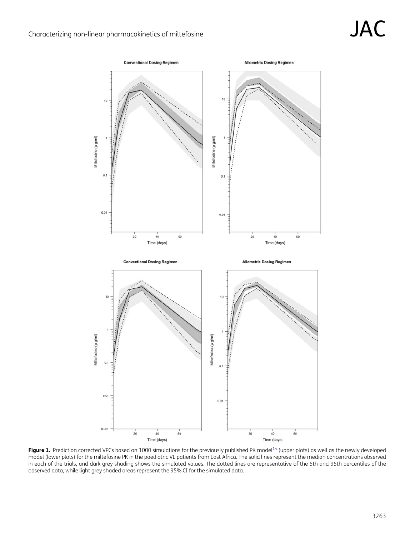<span id="page-3-0"></span>

Figure 1. Prediction corrected VPCs based on 1000 simulations for the previously published PK model<sup>14</sup> (upper plots) as well as the newly developed model (lower plots) for the miltefosine PK in the paediatric VL patients from East Africa. The solid lines represent the median concentrations observed in each of the trials, and dark grey shading shows the simulated values. The dotted lines are representative of the 5th and 95th percentiles of the observed data, while light grey shaded areas represent the 95% CI for the simulated data.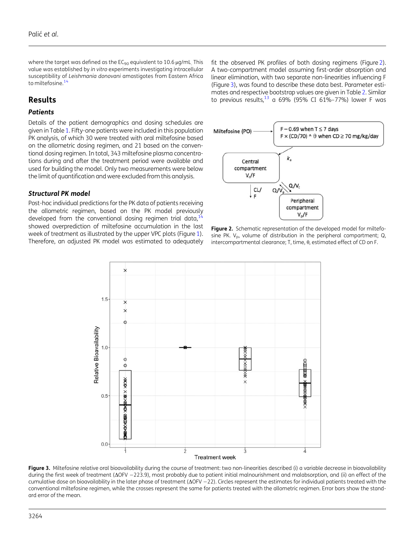where the target was defined as the  $EC_{90}$  equivalent to 10.6  $\mu$ g/mL. This value was established by in vitro experiments investigating intracellular susceptibility of Leishmania donovani amastigotes from Eastern Africa to miltefosine.<sup>[14](#page-7-0)</sup>

### Results

#### **Patients**

Details of the patient demographics and dosing schedules are given in Table [1.](#page-2-0) Fifty-one patients were included in this population PK analysis, of which 30 were treated with oral miltefosine based on the allometric dosing regimen, and 21 based on the conventional dosing regimen. In total, 343 miltefosine plasma concentrations during and after the treatment period were available and used for building the model. Only two measurements were below the limit of quantification and were excluded from this analysis.

#### Structural PK model

Post-hoc individual predictions for the PK data of patients receiving the allometric regimen, based on the PK model previously developed from the conventional dosing regimen trial data,  $14$ showed overprediction of miltefosine accumulation in the last week of treatment as illustrated by the upper VPC plots (Figure [1\)](#page-3-0). Therefore, an adjusted PK model was estimated to adequately

fit the observed PK profiles of both dosing regimens (Figure 2). A two-compartment model assuming first-order absorption and linear elimination, with two separate non-linearities influencing F (Figure 3), was found to describe these data best. Parameter estimates and respective bootstrap values are given in Table [2](#page-5-0). Similar to previous results,<sup>[13](#page-7-0)</sup> a 69% (95% CI 61%–77%) lower F was



Figure 2. Schematic representation of the developed model for miltefosine PK.  $V_p$ , volume of distribution in the peripheral compartment; Q, intercompartmental clearance; T, time,  $\theta$ , estimated effect of CD on F.



Figure 3. Miltefosine relative oral bioavailability during the course of treatment: two non-linearities described (i) a variable decrease in bioavailability during the first week of treatment ( $\Delta$ OFV -223.9), most probably due to patient initial malnourishment and malabsorption, and (ii) an effect of the cumulative dose on bioavailability in the later phase of treatment ( $\Delta$ OFV -22). Circles represent the estimates for individual patients treated with the conventional miltefosine regimen, while the crosses represent the same for patients treated with the allometric regimen. Error bars show the standard error of the mean.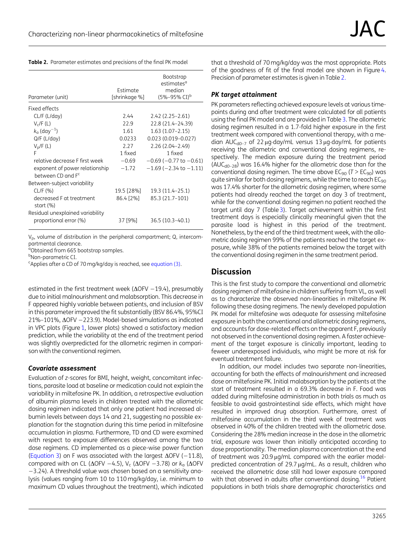<span id="page-5-0"></span>

| Table 2. Parameter estimates and precisions of the final PK model |
|-------------------------------------------------------------------|
|-------------------------------------------------------------------|

| Parameter (unit)                          | Estimate<br>[shrinkage %] | <b>Bootstrap</b><br>estimates <sup>a</sup><br>median<br>$(5\% - 95\% \text{ CI})^b$ |
|-------------------------------------------|---------------------------|-------------------------------------------------------------------------------------|
| Fixed effects                             |                           |                                                                                     |
| CL/F (L/day)                              | 2.44                      | $2.42(2.25 - 2.61)$                                                                 |
| $V_c$ /F (L)                              | 22.9                      | 22.8 (21.4-24.39)                                                                   |
| $k_{\rm a}$ (day <sup>-1</sup> )          | 1.61                      | $1.63(1.07-2.15)$                                                                   |
| $Q/F$ ( $L/day$ )                         | 0.0233                    | $0.023(0.019 - 0.027)$                                                              |
| $V_p/F(L)$                                | 2.27                      | $2.26(2.04 - 2.49)$                                                                 |
| F                                         | 1 fixed                   | 1 fixed                                                                             |
| relative decrease E first week            | $-0.69$                   | $-0.69$ ( $-0.77$ to $-0.61$ )                                                      |
| exponent of power relationship            | $-1.72$                   | $-1.69$ ( $-2.34$ to $-1.11$ )                                                      |
| between CD and F <sup>c</sup>             |                           |                                                                                     |
| Between-subject variability               |                           |                                                                                     |
| CL/F(%)                                   | 19.5 [28%]                | 19.3 (11.4 - 25.1)                                                                  |
| decreased F at treatment<br>start $(\% )$ | 86.4 [2%]                 | 85.3 (21.7-101)                                                                     |
| Residual unexplained variability          |                           |                                                                                     |
| proportional error (%)                    | 37 [9%]                   | 36.5 (10.3-40.1)                                                                    |
|                                           |                           |                                                                                     |

 $V_p$ , volume of distribution in the peripheral compartment; Q, intercompartmental clearance.

<sup>a</sup>Obtained from 665 bootstrap samples.

<sup>b</sup>Non-parametric CI.

<sup>c</sup>Applies after a CD of 70 mg/kg/day is reached, see [equation \(3\)](#page-2-0).

estimated in the first treatment week ( $\Delta$ OFV  $-19.4$ ), presumably due to initial malnourishment and malabsorption. This decrease in F appeared highly variable between patients, and inclusion of BSV in this parameter improved the fit substantially (BSV 86.4%, 95%CI  $21\% - 101\%$ ,  $\Delta$ OFV  $-223.9$ ). Model-based simulations as indicated in VPC plots (Figure [1,](#page-3-0) lower plots) showed a satisfactory median prediction, while the variability at the end of the treatment period was slightly overpredicted for the allometric regimen in comparison with the conventional regimen.

### Covariate assessment

Evaluation of z-scores for BMI, height, weight, concomitant infections, parasite load at baseline or medication could not explain the variability in miltefosine PK. In addition, a retrospective evaluation of albumin plasma levels in children treated with the allometric dosing regimen indicated that only one patient had increased albumin levels between days 14 and 21, suggesting no possible explanation for the stagnation during this time period in miltefosine accumulation in plasma. Furthermore, TD and CD were examined with respect to exposure differences observed among the two dose regimens. CD implemented as a piece-wise power function [\(Equation 3\)](#page-2-0) on F was associated with the largest  $\Delta$ OFV (-11.8), compared with on CL ( $\Delta$ OFV  $-4.5$ ), V<sub>c</sub> ( $\Delta$ OFV  $-3.78$ ) or  $k_a$  ( $\Delta$ OFV  $-3.24$ ). A threshold value was chosen based on a sensitivity analysis (values ranging from 10 to 110 mg/kg/day, i.e. minimum to maximum CD values throughout the treatment), which indicated

that a threshold of 70 mg/kg/day was the most appropriate. Plots of the goodness of fit of the final model are shown in Figure [4.](#page-6-0) Precision of parameter estimates is given in Table 2.

### PK target attainment

PK parameters reflecting achieved exposure levels at various timepoints during and after treatment were calculated for all patients using the final PK model and are provided in Table [3](#page-6-0). The allometric dosing regimen resulted in a 1.7-fold higher exposure in the first treatment week compared with conventional therapy, with a median  $AUC_{d0-7}$  of 22 µg·day/mL versus 13 µg·day/mL for patients receiving the allometric and conventional dosing regimens, respectively. The median exposure during the treatment period (AUC<sub>d0-28</sub>) was 16.4% higher for the allometric dose than for the conventional dosing regimen. The time above  $EC_{90}$  ( $T > EC_{90}$ ) was quite similar for both dosing regimens, while the time to reach EC<sub>90</sub> was 17.4% shorter for the allometric dosing regimen, where some patients had already reached the target on day 3 of treatment, while for the conventional dosing regimen no patient reached the target until day 7 (Table [3](#page-6-0)). Target achievement within the first treatment days is especially clinically meaningful given that the parasite load is highest in this period of the treatment. Nonetheless, by the end of the third treatment week, with the allometric dosing regimen 99% of the patients reached the target exposure, while 38% of the patients remained below the target with the conventional dosing regimen in the same treatment period.

# **Discussion**

This is the first study to compare the conventional and allometric dosing regimen of miltefosine in children suffering from VL, as well as to characterize the observed non-linearities in miltefosine PK following these dosing regimens. The newly developed population PK model for miltefosine was adequate for assessing miltefosine exposure in both the conventional and allometric dosing regimens, and accounts for dose-related effects on the apparent F, previously not observed in the conventional dosing regimen. A faster achievement of the target exposure is clinically important, leading to feweer underexposed individuals, who might be more at risk for eventual treatment failure.

In addition, our model includes two separate non-linearities, accounting for both the effects of malnourishment and increased dose on miltefosine PK. Initial malabsorption by the patients at the start of treatment resulted in a 69.3% decrease in F. Food was added during miltefosine administration in both trials as much as feasible to avoid gastrointestinal side effects, which might have resulted in improved drug absorption. Furthermore, arrest of miltefosine accumulation in the third week of treatment was observed in 40% of the children treated with the allometric dose. Considering the 28% median increase in the dose in the allometric trial, exposure was lower than initially anticipated according to dose proportionality. The median plasma concentration at the end of treatment was 20.9 µg/mL compared with the earlier modelpredicted concentration of  $29.7 \mu$ g/mL. As a result, children who received the allometric dose still had lower exposure compared with that observed in adults after conventional dosing.<sup>[16](#page-8-0)</sup> Patient populations in both trials share demographic characteristics and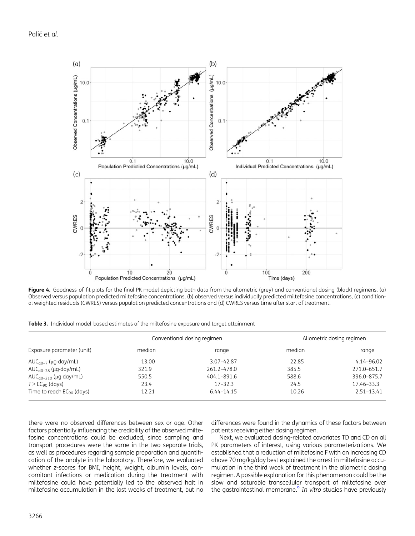<span id="page-6-0"></span>

Figure 4. Goodness-of-fit plots for the final PK model depicting both data from the allometric (grey) and conventional dosing (black) regimens. (a) Observed versus population predicted miltefosine concentrations, (b) observed versus individually predicted miltefosine concentrations, (c) conditional weighted residuals (CWRES) versus population predicted concentrations and (d) CWRES versus time after start of treatment.

Table 3. Individual model-based estimates of the miltefosine exposure and target attainment

|                                   | Conventional dosing regimen |                | Allometric dosing regimen |                |
|-----------------------------------|-----------------------------|----------------|---------------------------|----------------|
| Exposure parameter (unit)         | median                      | range          | median                    | range          |
| $AUC_{d0-7}$ (µg·day/mL)          | 13.00                       | 3.07-42.87     | 22.85                     | $4.14 - 96.02$ |
| $AUC_{d0-28}$ (µg·day/mL)         | 321.9                       | 261.2-478.0    | 385.5                     | 271.0-651.7    |
| AUC <sub>d0-210</sub> (µg·day/mL) | 550.5                       | 404.1-891.6    | 588.6                     | 396.0-875.7    |
| $T > EC_{90}$ (days)              | 23.4                        | $17 - 32.3$    | 24.5                      | 17.46–33.3     |
| Time to reach $EC_{90}$ (days)    | 12.21                       | $6.44 - 14.15$ | 10.26                     | $2.51 - 13.41$ |

there were no observed differences between sex or age. Other factors potentially influencing the credibility of the observed miltefosine concentrations could be excluded, since sampling and transport procedures were the same in the two separate trials, as well as procedures regarding sample preparation and quantification of the analyte in the laboratory. Therefore, we evaluated whether z-scores for BMI, height, weight, albumin levels, concomitant infections or medication during the treatment with miltefosine could have potentially led to the observed halt in miltefosine accumulation in the last weeks of treatment, but no

differences were found in the dynamics of these factors between patients receiving either dosing regimen.

Next, we evaluated dosing-related covariates TD and CD on all PK parameters of interest, using various parameterizations. We established that a reduction of miltefosine F with an increasing CD above 70 mg/kg/day best explained the arrest in miltefosine accumulation in the third week of treatment in the allometric dosing regimen. A possible explanation for this phenomenon could be the slow and saturable transcellular transport of miltefosine over the gastrointestinal membrane.<sup>[9](#page-7-0)</sup> In vitro studies have previously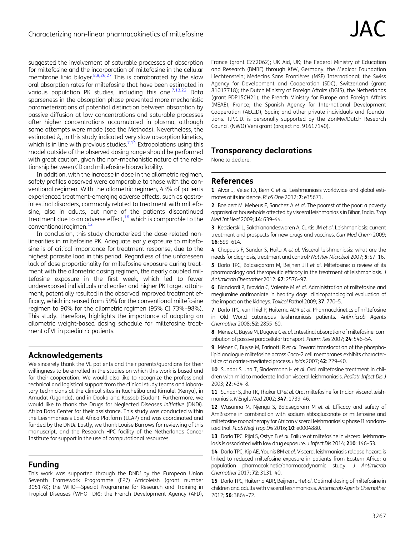<span id="page-7-0"></span>suggested the involvement of saturable processes of absorption for miltefosine and the incorporation of miltefosine in the cellular membrane lipid bilayer.<sup>8,9[,26,27](#page-8-0)</sup> This is corroborated by the slow oral absorption rates for miltefosine that have been estimated in various population PK studies, including this one.<sup>7,13,[22](#page-8-0)</sup> Data sparseness in the absorption phase prevented more mechanistic parameterizations of potential distinction between absorption by passive diffusion at low concentrations and saturable processes after higher concentrations accumulated in plasma, although some attempts were made (see the Methods). Nevertheless, the estimated  $k_a$  in this study indicated very slow absorption kinetics, which is in line with previous studies.<sup>7,14</sup> Extrapolations using this model outside of the observed dosing range should be performed with great caution, given the non-mechanistic nature of the relationship between CD and miltefosine bioavailability.

In addition, with the increase in dose in the allometric regimen, safety profiles observed were comparable to those with the conventional regimen. With the allometric regimen, 43% of patients experienced treatment-emerging adverse effects, such as gastrointestinal disorders, commonly related to treatment with miltefosine, also in adults, but none of the patients discontinued treatment due to an adverse effect,  $16$  which is comparable to the conventional regimen.<sup>12</sup>

In conclusion, this study characterized the dose-related nonlinearities in miltefosine PK. Adequate early exposure to miltefosine is of critical importance for treatment response, due to the highest parasite load in this period. Regardless of the unforeseen lack of dose proportionality for miltefosine exposure during treatment with the allometric dosing regimen, the nearly doubled miltefosine exposure in the first week, which led to fewer underexposed individuals and earlier and higher PK target attainment, potentially resulted in the observed improved treatment efficacy, which increased from 59% for the conventional miltefosine regimen to 90% for the allometric regimen (95% CI 73%–98%). This study, therefore, highlights the importance of adopting an allometric weight-based dosing schedule for miltefosine treatment of VL in paediatric patients.

### Acknowledgements

We sincerely thank the VL patients and their parents/guardians for their willingness to be enrolled in the studies on which this work is based and for their cooperation. We would also like to recognize the professional technical and logistical support from the clinical study teams and laboratory technicians at the clinical sites in Kacheliba and Kimalel (Kenya), in Amudat (Uganda), and in Dooka and Kassab (Sudan). Furthermore, we would like to thank the Drugs for Neglected Diseases initiative (DNDi). Africa Data Center for their assistance. This study was conducted within the Leishmaniasis East Africa Platform (LEAP) and was coordinated and funded by the DNDi. Lastly, we thank Louise Burrows for reviewing of this manuscript, and the Research HPC facility of the Netherlands Cancer Institute for support in the use of computational resources.

# Funding

This work was supported through the DNDi by the European Union Seventh Framework Programme (FP7) Africoleish (grant number 305178); the WHO—Special Programme for Research and Training in Tropical Diseases (WHO-TDR); the French Development Agency (AFD),

France (grant CZZ2062); UK Aid, UK; the Federal Ministry of Education and Research (BMBF) through KfW, Germany; the Medicor Foundation Liechtenstein; Médecins Sans Frontières (MSF) International; the Swiss Agency for Development and Cooperation (SDC), Switzerland (grant 81017718); the Dutch Ministry of Foreign Affairs (DGIS), the Netherlands (grant PDP15CH21); the French Ministry for Europe and Foreign Affairs (MEAE), France; the Spanish Agency for International Development Cooperation (AECID), Spain; and other private individuals and foundations. T.P.C.D. is personally supported by the ZonMw/Dutch Research Council (NWO) Veni grant (project no. 91617140).

# Transparency declarations

None to declare.

### References

[1](#page-0-0) Alvar J, Vélez ID, Bern C et al. Leishmaniasis worldwide and global estimates of its incidence. PLoS One 2012; 7: e35671.

[2](#page-0-0) Boelaert M, Meheus F, Sanchez A et al. The poorest of the poor: a poverty appraisal of households affected by visceral leishmaniasis in Bihar, India. Trop Med Int Heal 2009; 14: 639–44.

[3](#page-0-0) Kedzierski L, Sakthianandeswaren A, Curtis JM et al. Leishmaniasis: current treatment and prospects for new drugs and vaccines. Curr Med Chem 2009; 16: 599–614.

[4](#page-0-0) Chappuis F, Sundar S, Hailu A et al. Visceral leishmaniasis: what are the needs for diagnosis, treatment and control? Nat Rev Microbiol 2007; 5: S7-16.

[5](#page-0-0) Dorlo TPC, Balasegaram M, Beijnen JH et al. Miltefosine: a review of its pharmacology and therapeutic efficacy in the treatment of leishmaniasis. J Antimicrob Chemother 2012; 67: 2576–97.

[6](#page-0-0) Bianciardi P, Brovida C, Valente M et al. Administration of miltefosine and meglumine antimoniate in healthy dogs: clinicopathological evaluation of the impact on the kidneys. Toxicol Pathol 2009; 37: 770-5.

[7](#page-0-0) Dorlo TPC, van Thiel P, Huitema ADR et al. Pharmacokinetics of miltefosine in Old World cutaneous leishmaniasis patients. Antimicrob Agents Chemother 2008; 52: 2855–60.

[8](#page-0-0) Ménez C, Buyse M, Dugave C et al. Intestinal absorption of miltefosine: contribution of passive paracellular transport. Pharm Res 2007; 24: 546-54.

[9](#page-0-0) Ménez C, Buyse M, Farinotti R et al. Inward translocation of the phospholipid analogue miltefosine across Caco-2 cell membranes exhibits characteristics of a carrier-mediated process. Lipids 2007; 42: 229–40.

[10](#page-1-0) Sundar S, Jha T, Sindermann H et al. Oral miltefosine treatment in children with mild to moderate Indian visceral leishmaniasis. Pediatr Infect Dis J 2003; 22: 434–8.

[11](#page-1-0) Sundar S, Jha TK, Thakur CP et al. Oral miltefosine for Indian visceral leishmaniasis.N Engl J Med 2002; 347: 1739–46.

[12](#page-1-0) Wasunna M, Njenga S, Balasegaram M et al. Efficacy and safety of AmBisome in combination with sodium stibogluconate or miltefosine and miltefosine monotherapy for African visceral leishmaniasis: phase II randomized trial. PLoS Negl Trop Dis 2016; 10: e0004880.

[13](#page-1-0) Dorlo TPC, Rijal S, Ostyn B et al. Failure of miltefosine in visceral leishmaniasis is associated with low drug exposure. J Infect Dis 2014; 210: 146-53.

[14](#page-1-0) Dorlo TPC, Kip AE, Younis BM et al. Visceral leishmaniasis relapse hazard is linked to reduced miltefosine exposure in patients from Eastern Africa: a population pharmacokinetic/pharmacodynamic study. J Antimicrob Chemother 2017; 72: 3131–40.

[15](#page-1-0) Dorlo TPC, Huitema ADR, Beijnen JH et al. Optimal dosing of miltefosine in children and adults with visceral leishmaniasis. Antimicrob Agents Chemother 2012; 56: 3864–72.